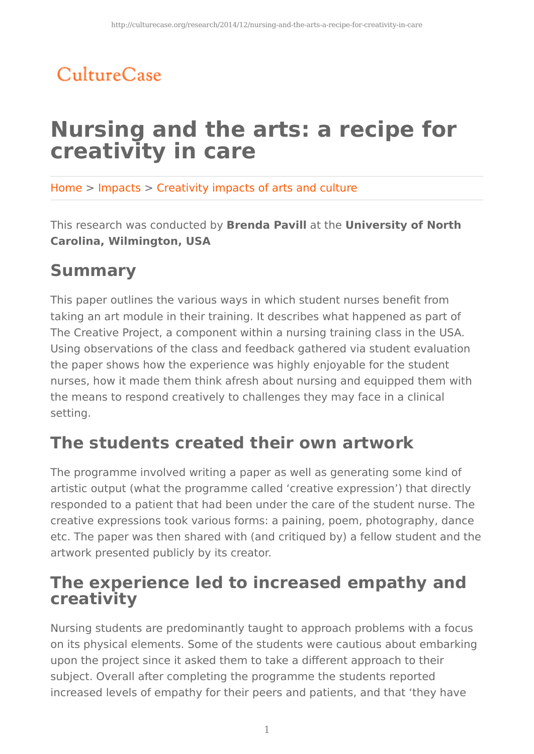## CultureCase

# **Nursing and the arts: a recipe for creativity in care**

Home > Impacts > Creativity impacts of arts and culture

This research was conducted by **Brenda Pavill** at the **University of North Carolina, Wilmington, USA**

## **Summary**

This paper outlines the various ways in which student nurses benefit from taking an art module in their training. It describes what happened as part of The Creative Project, a component within a nursing training class in the USA. Using observations of the class and feedback gathered via student evaluation the paper shows how the experience was highly enjoyable for the student nurses, how it made them think afresh about nursing and equipped them with the means to respond creatively to challenges they may face in a clinical setting.

### **The students created their own artwork**

The programme involved writing a paper as well as generating some kind of artistic output (what the programme called 'creative expression') that directly responded to a patient that had been under the care of the student nurse. The creative expressions took various forms: a paining, poem, photography, dance etc. The paper was then shared with (and critiqued by) a fellow student and the artwork presented publicly by its creator.

### **The experience led to increased empathy and creativity**

Nursing students are predominantly taught to approach problems with a focus on its physical elements. Some of the students were cautious about embarking upon the project since it asked them to take a different approach to their subject. Overall after completing the programme the students reported increased levels of empathy for their peers and patients, and that 'they have